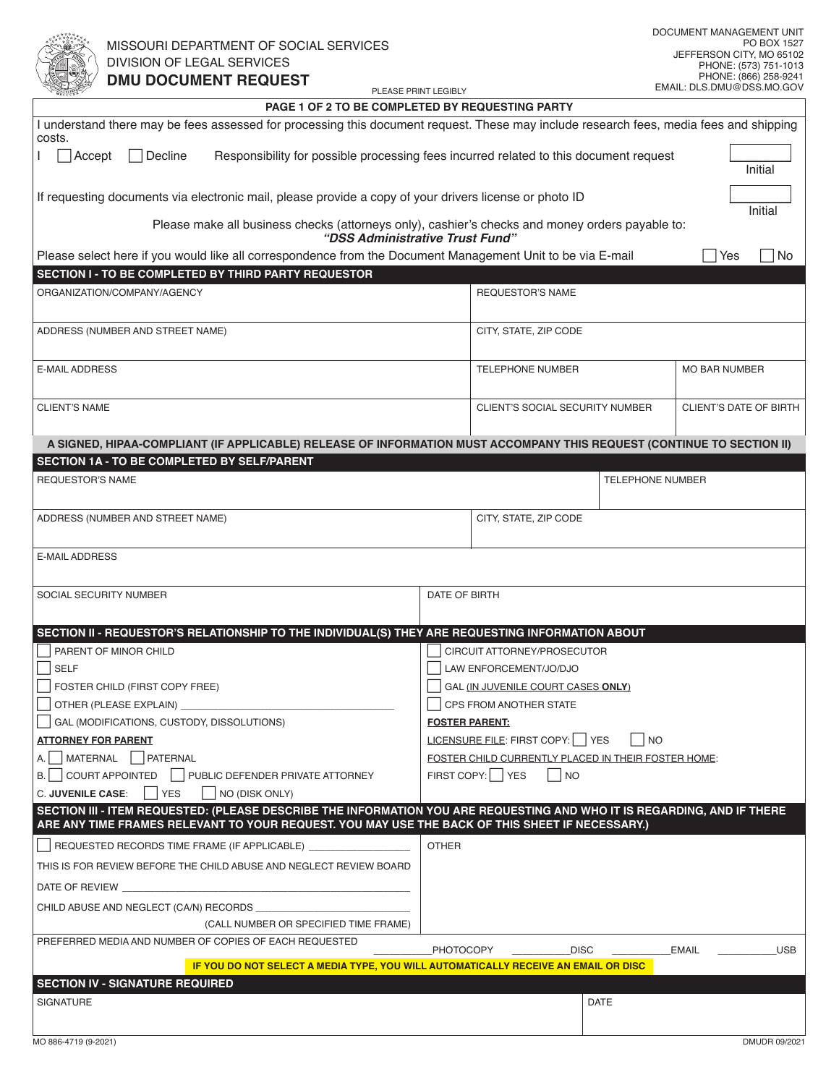| <b>PAGE 1 OF 2 TO BE COMPLETED BY REQUESTING PARTY</b>                                                                                                                                                                     |                                                              |                                        |                         |                                                     |  |  |  |
|----------------------------------------------------------------------------------------------------------------------------------------------------------------------------------------------------------------------------|--------------------------------------------------------------|----------------------------------------|-------------------------|-----------------------------------------------------|--|--|--|
| I understand there may be fees assessed for processing this document request. These may include research fees, media fees and shipping<br>costs.                                                                           |                                                              |                                        |                         |                                                     |  |  |  |
| $\sqsupset$ Decline<br>$\bigcap$ Accept<br>Responsibility for possible processing fees incurred related to this document request<br>Initial                                                                                |                                                              |                                        |                         |                                                     |  |  |  |
| If requesting documents via electronic mail, please provide a copy of your drivers license or photo ID                                                                                                                     |                                                              |                                        | Initial                 |                                                     |  |  |  |
| Please make all business checks (attorneys only), cashier's checks and money orders payable to:<br>"DSS Administrative Trust Fund"                                                                                         |                                                              |                                        |                         |                                                     |  |  |  |
| Please select here if you would like all correspondence from the Document Management Unit to be via E-mail                                                                                                                 |                                                              |                                        |                         | Yes<br>No.                                          |  |  |  |
| SECTION I - TO BE COMPLETED BY THIRD PARTY REQUESTOR                                                                                                                                                                       |                                                              |                                        |                         |                                                     |  |  |  |
| ORGANIZATION/COMPANY/AGENCY                                                                                                                                                                                                |                                                              | <b>REQUESTOR'S NAME</b>                |                         |                                                     |  |  |  |
| ADDRESS (NUMBER AND STREET NAME)                                                                                                                                                                                           |                                                              | CITY, STATE, ZIP CODE                  |                         |                                                     |  |  |  |
| E-MAIL ADDRESS                                                                                                                                                                                                             |                                                              | <b>TELEPHONE NUMBER</b>                |                         | <b>MO BAR NUMBER</b>                                |  |  |  |
| <b>CLIENT'S NAME</b>                                                                                                                                                                                                       |                                                              | <b>CLIENT'S SOCIAL SECURITY NUMBER</b> |                         | <b>CLIENT'S DATE OF BIRTH</b>                       |  |  |  |
| A SIGNED, HIPAA-COMPLIANT (IF APPLICABLE) RELEASE OF INFORMATION MUST ACCOMPANY THIS REQUEST (CONTINUE TO SECTION II)                                                                                                      |                                                              |                                        |                         |                                                     |  |  |  |
| SECTION 1A - TO BE COMPLETED BY SELF/PARENT                                                                                                                                                                                |                                                              |                                        |                         |                                                     |  |  |  |
| <b>REQUESTOR'S NAME</b>                                                                                                                                                                                                    |                                                              |                                        | <b>TELEPHONE NUMBER</b> |                                                     |  |  |  |
| ADDRESS (NUMBER AND STREET NAME)                                                                                                                                                                                           |                                                              | CITY, STATE, ZIP CODE                  |                         |                                                     |  |  |  |
| <b>E-MAIL ADDRESS</b>                                                                                                                                                                                                      |                                                              |                                        |                         |                                                     |  |  |  |
| SOCIAL SECURITY NUMBER                                                                                                                                                                                                     | DATE OF BIRTH                                                |                                        |                         |                                                     |  |  |  |
|                                                                                                                                                                                                                            |                                                              |                                        |                         |                                                     |  |  |  |
| SECTION II - REQUESTOR'S RELATIONSHIP TO THE INDIVIDUAL(S) THEY ARE REQUESTING INFORMATION ABOUT                                                                                                                           |                                                              |                                        |                         |                                                     |  |  |  |
| PARENT OF MINOR CHILD                                                                                                                                                                                                      |                                                              | CIRCUIT ATTORNEY/PROSECUTOR            |                         |                                                     |  |  |  |
| <b>SELF</b>                                                                                                                                                                                                                | LAW ENFORCEMENT/JO/DJO<br>GAL (IN JUVENILE COURT CASES ONLY) |                                        |                         |                                                     |  |  |  |
| FOSTER CHILD (FIRST COPY FREE)<br>OTHER (PLEASE EXPLAIN) _                                                                                                                                                                 |                                                              | CPS FROM ANOTHER STATE                 |                         |                                                     |  |  |  |
| GAL (MODIFICATIONS, CUSTODY, DISSOLUTIONS)                                                                                                                                                                                 |                                                              | <b>FOSTER PARENT:</b>                  |                         |                                                     |  |  |  |
| <b>ATTORNEY FOR PARENT</b>                                                                                                                                                                                                 | LICENSURE FILE: FIRST COPY: YES<br>  NO                      |                                        |                         |                                                     |  |  |  |
| A.   MATERNAL   PATERNAL                                                                                                                                                                                                   |                                                              |                                        |                         | FOSTER CHILD CURRENTLY PLACED IN THEIR FOSTER HOME: |  |  |  |
| B.   COURT APPOINTED   PUBLIC DEFENDER PRIVATE ATTORNEY                                                                                                                                                                    |                                                              | FIRST COPY:   YES<br>I NO              |                         |                                                     |  |  |  |
| <b>C. JUVENILE CASE:</b><br><b>YES</b><br>NO (DISK ONLY)                                                                                                                                                                   |                                                              |                                        |                         |                                                     |  |  |  |
| SECTION III - ITEM REQUESTED: (PLEASE DESCRIBE THE INFORMATION YOU ARE REQUESTING AND WHO IT IS REGARDING, AND IF THERE<br>ARE ANY TIME FRAMES RELEVANT TO YOUR REQUEST. YOU MAY USE THE BACK OF THIS SHEET IF NECESSARY.) |                                                              |                                        |                         |                                                     |  |  |  |
| REQUESTED RECORDS TIME FRAME (IF APPLICABLE)                                                                                                                                                                               | <b>OTHER</b>                                                 |                                        |                         |                                                     |  |  |  |
| THIS IS FOR REVIEW BEFORE THE CHILD ABUSE AND NEGLECT REVIEW BOARD                                                                                                                                                         |                                                              |                                        |                         |                                                     |  |  |  |
| DATE OF REVIEW                                                                                                                                                                                                             |                                                              |                                        |                         |                                                     |  |  |  |
| CHILD ABUSE AND NEGLECT (CA/N) RECORDS                                                                                                                                                                                     |                                                              |                                        |                         |                                                     |  |  |  |
| (CALL NUMBER OR SPECIFIED TIME FRAME)                                                                                                                                                                                      |                                                              |                                        |                         |                                                     |  |  |  |
| PREFERRED MEDIA AND NUMBER OF COPIES OF EACH REQUESTED                                                                                                                                                                     |                                                              |                                        |                         |                                                     |  |  |  |
| IF YOU DO NOT SELECT A MEDIA TYPE, YOU WILL AUTOMATICALLY RECEIVE AN EMAIL OR DISC                                                                                                                                         | <b>PHOTOCOPY</b>                                             | <b>DISC</b>                            |                         | <b>EMAIL</b><br><b>USB</b>                          |  |  |  |
| <b>SECTION IV - SIGNATURE REQUIRED</b>                                                                                                                                                                                     |                                                              |                                        |                         |                                                     |  |  |  |
| <b>SIGNATURE</b>                                                                                                                                                                                                           |                                                              |                                        | <b>DATE</b>             |                                                     |  |  |  |
|                                                                                                                                                                                                                            |                                                              |                                        |                         |                                                     |  |  |  |